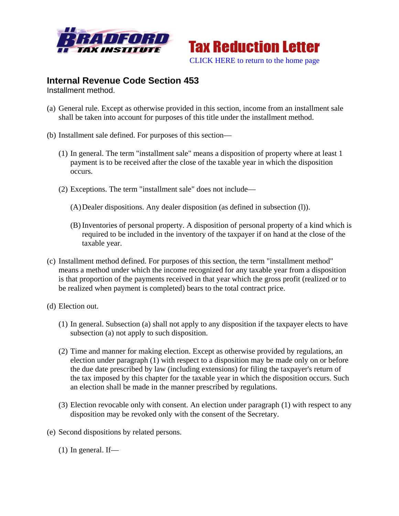



## **Internal Revenue Code Section 453**

Installment method.

- (a) General rule. Except as otherwise provided in this section, income from an installment sale shall be taken into account for purposes of this title under the installment method.
- (b) Installment sale defined. For purposes of this section—
	- (1) In general. The term "installment sale" means a disposition of property where at least 1 payment is to be received after the close of the taxable year in which the disposition occurs.
	- (2) Exceptions. The term "installment sale" does not include—
		- (A)Dealer dispositions. Any dealer disposition (as defined in subsection (l)).
		- (B) Inventories of personal property. A disposition of personal property of a kind which is required to be included in the inventory of the taxpayer if on hand at the close of the taxable year.
- (c) Installment method defined. For purposes of this section, the term "installment method" means a method under which the income recognized for any taxable year from a disposition is that proportion of the payments received in that year which the gross profit (realized or to be realized when payment is completed) bears to the total contract price.
- (d) Election out.
	- (1) In general. Subsection (a) shall not apply to any disposition if the taxpayer elects to have subsection (a) not apply to such disposition.
	- (2) Time and manner for making election. Except as otherwise provided by regulations, an election under paragraph (1) with respect to a disposition may be made only on or before the due date prescribed by law (including extensions) for filing the taxpayer's return of the tax imposed by this chapter for the taxable year in which the disposition occurs. Such an election shall be made in the manner prescribed by regulations.
	- (3) Election revocable only with consent. An election under paragraph (1) with respect to any disposition may be revoked only with the consent of the Secretary.
- (e) Second dispositions by related persons.
	- $(1)$  In general. If—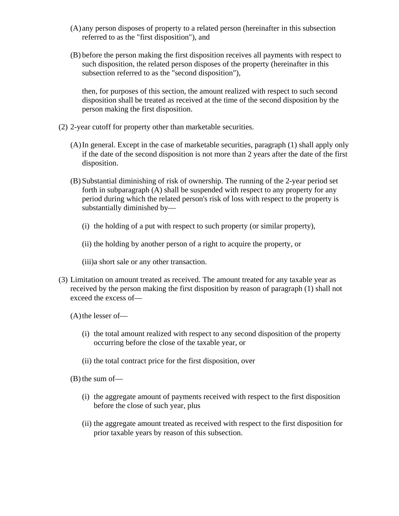- (A) any person disposes of property to a related person (hereinafter in this subsection referred to as the "first disposition"), and
- (B) before the person making the first disposition receives all payments with respect to such disposition, the related person disposes of the property (hereinafter in this subsection referred to as the "second disposition"),

then, for purposes of this section, the amount realized with respect to such second disposition shall be treated as received at the time of the second disposition by the person making the first disposition.

- (2) 2-year cutoff for property other than marketable securities.
	- (A)In general. Except in the case of marketable securities, paragraph (1) shall apply only if the date of the second disposition is not more than 2 years after the date of the first disposition.
	- (B) Substantial diminishing of risk of ownership. The running of the 2-year period set forth in subparagraph (A) shall be suspended with respect to any property for any period during which the related person's risk of loss with respect to the property is substantially diminished by—
		- (i) the holding of a put with respect to such property (or similar property),
		- (ii) the holding by another person of a right to acquire the property, or

(iii)a short sale or any other transaction.

- (3) Limitation on amount treated as received. The amount treated for any taxable year as received by the person making the first disposition by reason of paragraph (1) shall not exceed the excess of—
	- $(A)$ the lesser of-
		- (i) the total amount realized with respect to any second disposition of the property occurring before the close of the taxable year, or
		- (ii) the total contract price for the first disposition, over
	- (B) the sum of—
		- (i) the aggregate amount of payments received with respect to the first disposition before the close of such year, plus
		- (ii) the aggregate amount treated as received with respect to the first disposition for prior taxable years by reason of this subsection.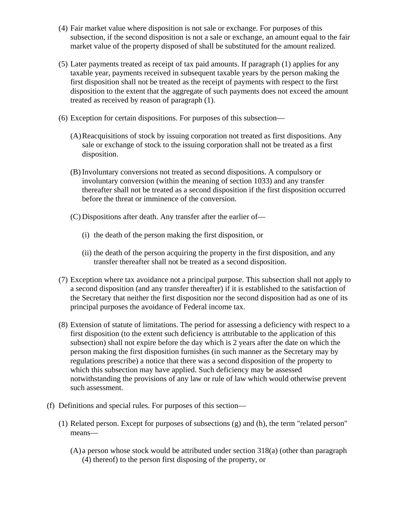- (4) Fair market value where disposition is not sale or exchange. For purposes of this subsection, if the second disposition is not a sale or exchange, an amount equal to the fair market value of the property disposed of shall be substituted for the amount realized.
- (5) Later payments treated as receipt of tax paid amounts. If paragraph (1) applies for any taxable year, payments received in subsequent taxable years by the person making the first disposition shall not be treated as the receipt of payments with respect to the first disposition to the extent that the aggregate of such payments does not exceed the amount treated as received by reason of paragraph (1).
- (6) Exception for certain dispositions. For purposes of this subsection—
	- (A)Reacquisitions of stock by issuing corporation not treated as first dispositions. Any sale or exchange of stock to the issuing corporation shall not be treated as a first disposition.
	- (B) Involuntary conversions not treated as second dispositions. A compulsory or involuntary conversion (within the meaning of section 1033) and any transfer thereafter shall not be treated as a second disposition if the first disposition occurred before the threat or imminence of the conversion.
	- (C) Dispositions after death. Any transfer after the earlier of—
		- (i) the death of the person making the first disposition, or
		- (ii) the death of the person acquiring the property in the first disposition, and any transfer thereafter shall not be treated as a second disposition.
- (7) Exception where tax avoidance not a principal purpose. This subsection shall not apply to a second disposition (and any transfer thereafter) if it is established to the satisfaction of the Secretary that neither the first disposition nor the second disposition had as one of its principal purposes the avoidance of Federal income tax.
- (8) Extension of statute of limitations. The period for assessing a deficiency with respect to a first disposition (to the extent such deficiency is attributable to the application of this subsection) shall not expire before the day which is 2 years after the date on which the person making the first disposition furnishes (in such manner as the Secretary may by regulations prescribe) a notice that there was a second disposition of the property to which this subsection may have applied. Such deficiency may be assessed notwithstanding the provisions of any law or rule of law which would otherwise prevent such assessment.
- (f) Definitions and special rules. For purposes of this section—
	- (1) Related person. Except for purposes of subsections (g) and (h), the term "related person" means—
		- (A) a person whose stock would be attributed under section 318(a) (other than paragraph (4) thereof) to the person first disposing of the property, or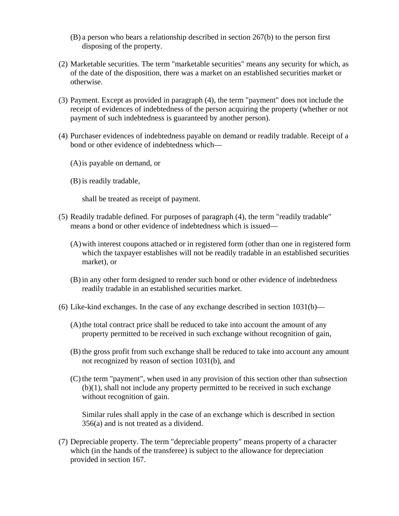- (B) a person who bears a relationship described in section 267(b) to the person first disposing of the property.
- (2) Marketable securities. The term "marketable securities" means any security for which, as of the date of the disposition, there was a market on an established securities market or otherwise.
- (3) Payment. Except as provided in paragraph (4), the term "payment" does not include the receipt of evidences of indebtedness of the person acquiring the property (whether or not payment of such indebtedness is guaranteed by another person).
- (4) Purchaser evidences of indebtedness payable on demand or readily tradable. Receipt of a bond or other evidence of indebtedness which—
	- (A)is payable on demand, or
	- (B) is readily tradable,

shall be treated as receipt of payment.

- (5) Readily tradable defined. For purposes of paragraph (4), the term "readily tradable" means a bond or other evidence of indebtedness which is issued—
	- (A)with interest coupons attached or in registered form (other than one in registered form which the taxpayer establishes will not be readily tradable in an established securities market), or
	- (B) in any other form designed to render such bond or other evidence of indebtedness readily tradable in an established securities market.
- (6) Like-kind exchanges. In the case of any exchange described in section 1031(b)—
	- (A)the total contract price shall be reduced to take into account the amount of any property permitted to be received in such exchange without recognition of gain,
	- (B) the gross profit from such exchange shall be reduced to take into account any amount not recognized by reason of section 1031(b), and
	- (C) the term "payment", when used in any provision of this section other than subsection (b)(1), shall not include any property permitted to be received in such exchange without recognition of gain.

Similar rules shall apply in the case of an exchange which is described in section 356(a) and is not treated as a dividend.

(7) Depreciable property. The term "depreciable property" means property of a character which (in the hands of the transferee) is subject to the allowance for depreciation provided in section 167.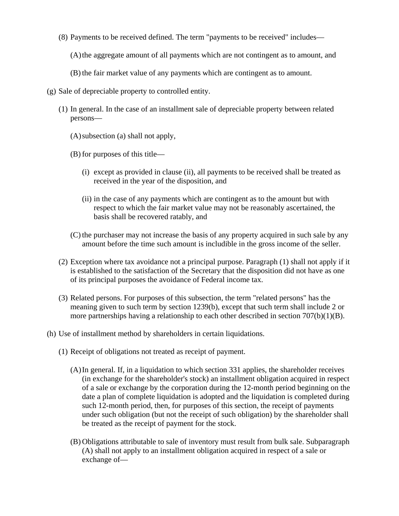(8) Payments to be received defined. The term "payments to be received" includes—

(A)the aggregate amount of all payments which are not contingent as to amount, and

(B) the fair market value of any payments which are contingent as to amount.

- (g) Sale of depreciable property to controlled entity.
	- (1) In general. In the case of an installment sale of depreciable property between related persons—
		- (A)subsection (a) shall not apply,
		- (B) for purposes of this title—
			- (i) except as provided in clause (ii), all payments to be received shall be treated as received in the year of the disposition, and
			- (ii) in the case of any payments which are contingent as to the amount but with respect to which the fair market value may not be reasonably ascertained, the basis shall be recovered ratably, and
		- (C) the purchaser may not increase the basis of any property acquired in such sale by any amount before the time such amount is includible in the gross income of the seller.
	- (2) Exception where tax avoidance not a principal purpose. Paragraph (1) shall not apply if it is established to the satisfaction of the Secretary that the disposition did not have as one of its principal purposes the avoidance of Federal income tax.
	- (3) Related persons. For purposes of this subsection, the term "related persons" has the meaning given to such term by section 1239(b), except that such term shall include 2 or more partnerships having a relationship to each other described in section 707(b)(1)(B).
- (h) Use of installment method by shareholders in certain liquidations.
	- (1) Receipt of obligations not treated as receipt of payment.
		- (A)In general. If, in a liquidation to which section 331 applies, the shareholder receives (in exchange for the shareholder's stock) an installment obligation acquired in respect of a sale or exchange by the corporation during the 12-month period beginning on the date a plan of complete liquidation is adopted and the liquidation is completed during such 12-month period, then, for purposes of this section, the receipt of payments under such obligation (but not the receipt of such obligation) by the shareholder shall be treated as the receipt of payment for the stock.
		- (B) Obligations attributable to sale of inventory must result from bulk sale. Subparagraph (A) shall not apply to an installment obligation acquired in respect of a sale or exchange of—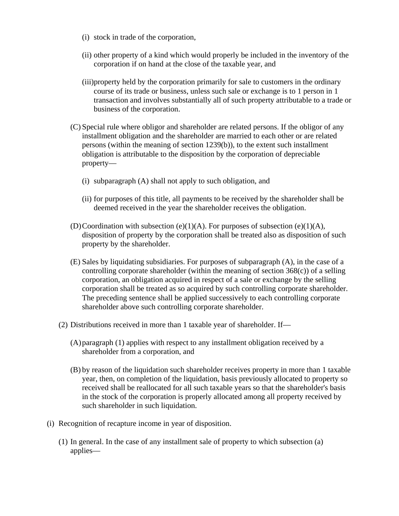- (i) stock in trade of the corporation,
- (ii) other property of a kind which would properly be included in the inventory of the corporation if on hand at the close of the taxable year, and
- (iii)property held by the corporation primarily for sale to customers in the ordinary course of its trade or business, unless such sale or exchange is to 1 person in 1 transaction and involves substantially all of such property attributable to a trade or business of the corporation.
- (C) Special rule where obligor and shareholder are related persons. If the obligor of any installment obligation and the shareholder are married to each other or are related persons (within the meaning of section 1239(b)), to the extent such installment obligation is attributable to the disposition by the corporation of depreciable property—
	- (i) subparagraph (A) shall not apply to such obligation, and
	- (ii) for purposes of this title, all payments to be received by the shareholder shall be deemed received in the year the shareholder receives the obligation.
- (D)Coordination with subsection (e)(1)(A). For purposes of subsection (e)(1)(A), disposition of property by the corporation shall be treated also as disposition of such property by the shareholder.
- (E) Sales by liquidating subsidiaries. For purposes of subparagraph (A), in the case of a controlling corporate shareholder (within the meaning of section 368(c)) of a selling corporation, an obligation acquired in respect of a sale or exchange by the selling corporation shall be treated as so acquired by such controlling corporate shareholder. The preceding sentence shall be applied successively to each controlling corporate shareholder above such controlling corporate shareholder.
- (2) Distributions received in more than 1 taxable year of shareholder. If—
	- (A)paragraph (1) applies with respect to any installment obligation received by a shareholder from a corporation, and
	- (B) by reason of the liquidation such shareholder receives property in more than 1 taxable year, then, on completion of the liquidation, basis previously allocated to property so received shall be reallocated for all such taxable years so that the shareholder's basis in the stock of the corporation is properly allocated among all property received by such shareholder in such liquidation.
- (i) Recognition of recapture income in year of disposition.
	- (1) In general. In the case of any installment sale of property to which subsection (a) applies—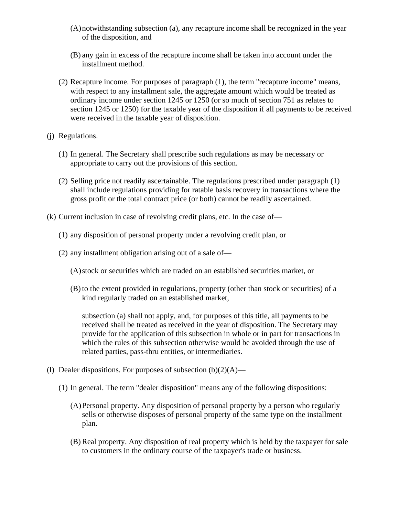- (A)notwithstanding subsection (a), any recapture income shall be recognized in the year of the disposition, and
- (B) any gain in excess of the recapture income shall be taken into account under the installment method.
- (2) Recapture income. For purposes of paragraph (1), the term "recapture income" means, with respect to any installment sale, the aggregate amount which would be treated as ordinary income under section 1245 or 1250 (or so much of section 751 as relates to section 1245 or 1250) for the taxable year of the disposition if all payments to be received were received in the taxable year of disposition.
- (j) Regulations.
	- (1) In general. The Secretary shall prescribe such regulations as may be necessary or appropriate to carry out the provisions of this section.
	- (2) Selling price not readily ascertainable. The regulations prescribed under paragraph (1) shall include regulations providing for ratable basis recovery in transactions where the gross profit or the total contract price (or both) cannot be readily ascertained.
- (k) Current inclusion in case of revolving credit plans, etc. In the case of—
	- (1) any disposition of personal property under a revolving credit plan, or
	- (2) any installment obligation arising out of a sale of—
		- (A)stock or securities which are traded on an established securities market, or
		- (B) to the extent provided in regulations, property (other than stock or securities) of a kind regularly traded on an established market,

subsection (a) shall not apply, and, for purposes of this title, all payments to be received shall be treated as received in the year of disposition. The Secretary may provide for the application of this subsection in whole or in part for transactions in which the rules of this subsection otherwise would be avoided through the use of related parties, pass-thru entities, or intermediaries.

- (l) Dealer dispositions. For purposes of subsection  $(b)(2)(A)$ 
	- (1) In general. The term "dealer disposition" means any of the following dispositions:
		- (A)Personal property. Any disposition of personal property by a person who regularly sells or otherwise disposes of personal property of the same type on the installment plan.
		- (B) Real property. Any disposition of real property which is held by the taxpayer for sale to customers in the ordinary course of the taxpayer's trade or business.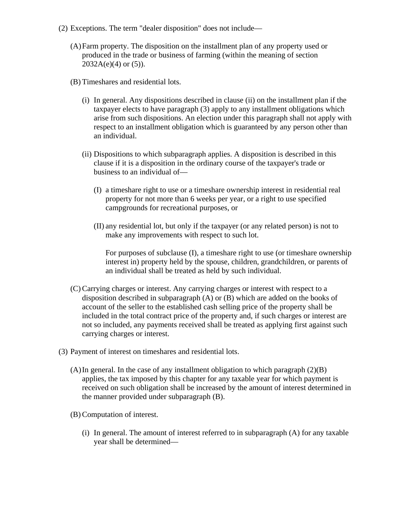- (2) Exceptions. The term "dealer disposition" does not include—
	- (A)Farm property. The disposition on the installment plan of any property used or produced in the trade or business of farming (within the meaning of section  $2032A(e)(4)$  or  $(5)$ ).
	- (B) Timeshares and residential lots.
		- (i) In general. Any dispositions described in clause (ii) on the installment plan if the taxpayer elects to have paragraph (3) apply to any installment obligations which arise from such dispositions. An election under this paragraph shall not apply with respect to an installment obligation which is guaranteed by any person other than an individual.
		- (ii) Dispositions to which subparagraph applies. A disposition is described in this clause if it is a disposition in the ordinary course of the taxpayer's trade or business to an individual of—
			- (I) a timeshare right to use or a timeshare ownership interest in residential real property for not more than 6 weeks per year, or a right to use specified campgrounds for recreational purposes, or
			- (II) any residential lot, but only if the taxpayer (or any related person) is not to make any improvements with respect to such lot.

For purposes of subclause (I), a timeshare right to use (or timeshare ownership interest in) property held by the spouse, children, grandchildren, or parents of an individual shall be treated as held by such individual.

- (C) Carrying charges or interest. Any carrying charges or interest with respect to a disposition described in subparagraph (A) or (B) which are added on the books of account of the seller to the established cash selling price of the property shall be included in the total contract price of the property and, if such charges or interest are not so included, any payments received shall be treated as applying first against such carrying charges or interest.
- (3) Payment of interest on timeshares and residential lots.
	- $(A)$ In general. In the case of any installment obligation to which paragraph  $(2)(B)$ applies, the tax imposed by this chapter for any taxable year for which payment is received on such obligation shall be increased by the amount of interest determined in the manner provided under subparagraph (B).
	- (B) Computation of interest.
		- (i) In general. The amount of interest referred to in subparagraph (A) for any taxable year shall be determined—